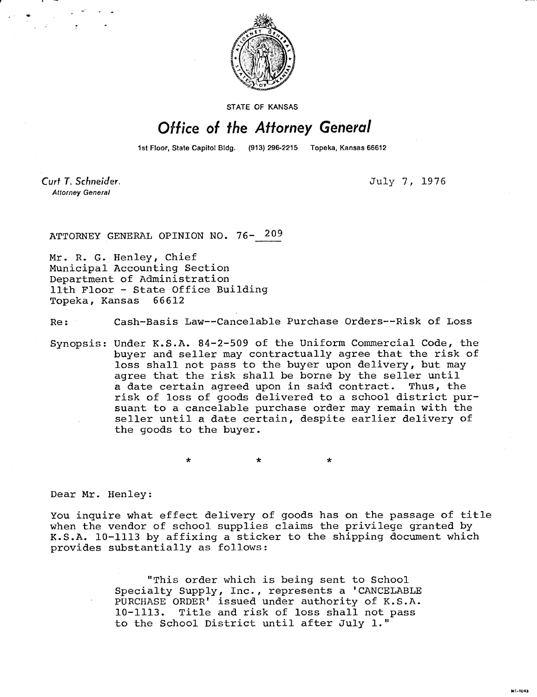

STATE OF KANSAS

## Office of the Attorney General

1st Floor, State Capitol Bldg. (913) 296-2215 Topeka, Kansas 66612

Curt T. Schneider. **Attorney General** 

July 7, 1976

ATTORNEY GENERAL OPINION NO. 76- 209

Mr. R. G. Henley, Chief Municipal Accounting Section Department of Administration 11th Floor - State Office Building Topeka, Kansas 66612

Re: Cash-Basis Law--Cancelable Purchase Orders--Risk of Loss

Synopsis: Under K.S.A. 84-2-509 of the Uniform Commercial Code, the buyer and seller may contractually agree that the risk of loss shall not pass to the buyer upon delivery, but may agree that the risk shall be borne by the seller until a date certain agreed upon in said contract. Thus, the risk of loss of goods delivered to a school district pursuant to a cancelable purchase order may remain with the seller until a date certain, despite earlier delivery of the goods to the buyer.

Dear Mr. Henley:

You inquire what effect delivery of goods has on the passage of title when the vendor of school supplies claims the privilege granted by K.S.A. 10-1113 by affixing a sticker to the shipping document which provides substantially as follows:

> "This order which is being sent to School Specialty Supply, Inc., represents a 'CANCELABLE PURCHASE ORDER' issued under authority of K.S.A. 10-1113. Title and risk of loss shall not pass to the School District until after July 1."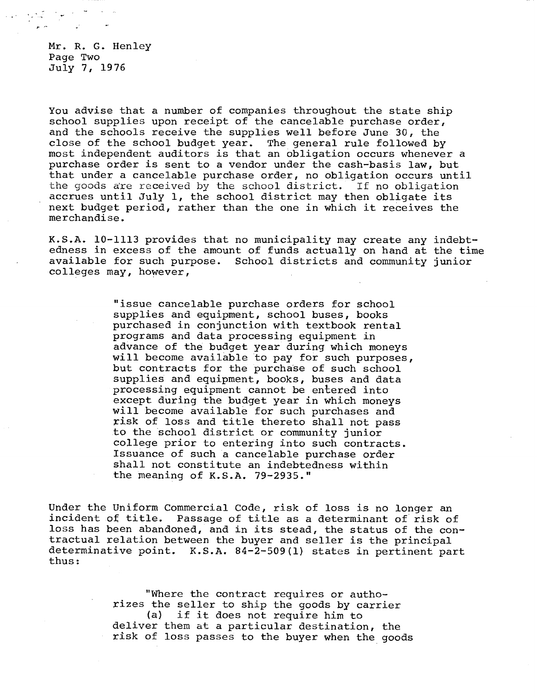Mr. R. G. Henley Page Two July 7, 1976

You advise that a number of companies throughout the state ship school supplies upon receipt of the cancelable purchase order, and the schools receive the supplies well before June 30, the close of the school budget year. The general rule followed by most independent auditors is that an obligation occurs whenever a purchase order is sent to a vendor under the cash-basis law, but that under a cancelable purchase order, no obligation occurs until the goods are received by the school district. If no obligation accrues until July 1, the school district may then obligate its next budget period, rather than the one in which it receives the merchandise.

K.S.A. 10-1113 provides that no municipality may create any indebtedness in excess of the amount of funds actually on hand at the time available for such purpose. School districts and community junior colleges may, however,

> "issue cancelable purchase orders for school supplies and equipment, school buses, books purchased in conjunction with textbook rental programs and data processing equipment in advance of the budget year during which moneys will become available to pay for such purposes, but contracts for the purchase of such school supplies and equipment, books, buses and data processing equipment cannot be entered into except during the budget year in which moneys will become available for such purchases and risk of loss and title thereto shall not pass to the school district or community junior college prior to entering into such contracts. Issuance of such a cancelable purchase order shall not constitute an indebtedness within the meaning of K.S.A. 79-2935."

Under the Uniform Commercial Code, risk of loss is no longer an incident of title. Passage of title as a determinant of risk of loss has been abandoned, and in its stead, the status of the contractual relation between the buyer and seller is the principal determinative point. K.S.A. 84-2-509(1) states in pertinent part thus:

> "Where the contract requires or authorizes the seller to ship the goods by carrier<br>(a) if it does not require him to if it does not require him to deliver them at a particular destination, the risk of loss passes to the buyer when the goods